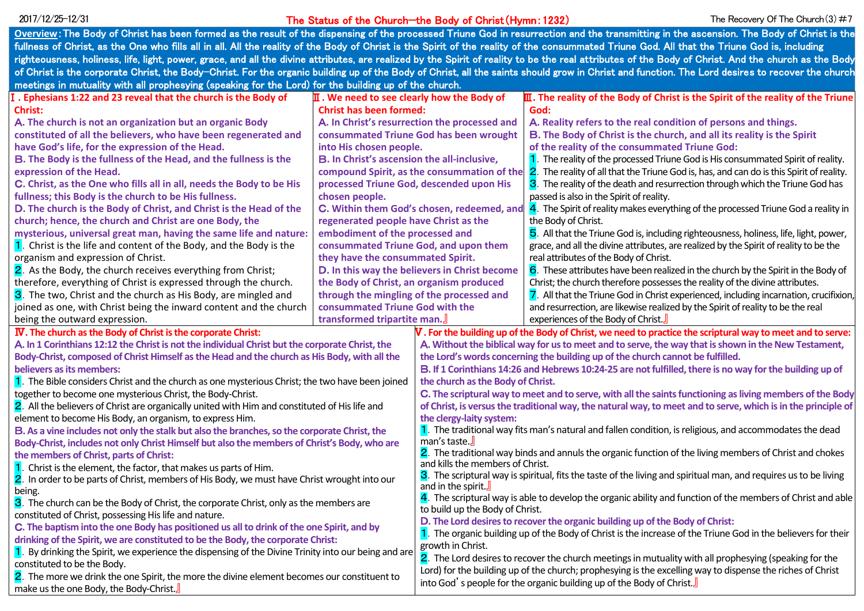#### The Status of the Church—the Body of Christ(Hymn:1232)  $2017/12/25-12/31$  The Church  $2017/12/25-12/31$  The Recovery Of The Church (3)  $\#7$

| Overview: The Body of Christ has been formed as the result of the dispensing of the processed Triune God in resurrection and the transmitting in the ascension. The Body of Christ is the                                                                                                                                                                                                                                                                     |                                                                   |                                                                                                                                             |                                                                                                 |
|---------------------------------------------------------------------------------------------------------------------------------------------------------------------------------------------------------------------------------------------------------------------------------------------------------------------------------------------------------------------------------------------------------------------------------------------------------------|-------------------------------------------------------------------|---------------------------------------------------------------------------------------------------------------------------------------------|-------------------------------------------------------------------------------------------------|
| fullness of Christ, as the One who fills all in all. All the reality of the Body of Christ is the Spirit of the reality of the consummated Triune God. All that the Triune God is, including                                                                                                                                                                                                                                                                  |                                                                   |                                                                                                                                             |                                                                                                 |
| righteousness, holiness, life, light, power, grace, and all the divine attributes, are realized by the Spirit of reality to be the real attributes of the Body of Christ. And the church as the Body                                                                                                                                                                                                                                                          |                                                                   |                                                                                                                                             |                                                                                                 |
| of Christ is the corporate Christ, the Body-Christ. For the organic building up of the Body of Christ, all the saints should grow in Christ and function. The Lord desires to recover the church                                                                                                                                                                                                                                                              |                                                                   |                                                                                                                                             |                                                                                                 |
| meetings in mutuality with all prophesying (speaking for the Lord) for the building up of the church.                                                                                                                                                                                                                                                                                                                                                         |                                                                   |                                                                                                                                             |                                                                                                 |
| . Ephesians 1:22 and 23 reveal that the church is the Body of                                                                                                                                                                                                                                                                                                                                                                                                 | $\overline{\mathbf{II}}$ . We need to see clearly how the Body of |                                                                                                                                             | $\mathbf I$ . The reality of the Body of Christ is the Spirit of the reality of the Triune      |
| <b>Christ:</b>                                                                                                                                                                                                                                                                                                                                                                                                                                                | <b>Christ has been formed:</b>                                    |                                                                                                                                             | God:                                                                                            |
| A. The church is not an organization but an organic Body                                                                                                                                                                                                                                                                                                                                                                                                      | A. In Christ's resurrection the processed and                     |                                                                                                                                             | A. Reality refers to the real condition of persons and things.                                  |
| constituted of all the believers, who have been regenerated and                                                                                                                                                                                                                                                                                                                                                                                               | consummated Triune God has been wrought                           |                                                                                                                                             | B. The Body of Christ is the church, and all its reality is the Spirit                          |
| have God's life, for the expression of the Head.                                                                                                                                                                                                                                                                                                                                                                                                              | into His chosen people.                                           |                                                                                                                                             | of the reality of the consummated Triune God:                                                   |
| B. The Body is the fullness of the Head, and the fullness is the                                                                                                                                                                                                                                                                                                                                                                                              | B. In Christ's ascension the all-inclusive,                       |                                                                                                                                             | 1. The reality of the processed Triune God is His consummated Spirit of reality.                |
| expression of the Head.                                                                                                                                                                                                                                                                                                                                                                                                                                       | compound Spirit, as the consummation of the                       |                                                                                                                                             | 2. The reality of all that the Triune God is, has, and can do is this Spirit of reality.        |
| C. Christ, as the One who fills all in all, needs the Body to be His                                                                                                                                                                                                                                                                                                                                                                                          | processed Triune God, descended upon His                          |                                                                                                                                             | 3. The reality of the death and resurrection through which the Triune God has                   |
| fullness; this Body is the church to be His fullness.                                                                                                                                                                                                                                                                                                                                                                                                         | chosen people.                                                    |                                                                                                                                             | passed is also in the Spirit of reality.                                                        |
| D. The church is the Body of Christ, and Christ is the Head of the                                                                                                                                                                                                                                                                                                                                                                                            | C. Within them God's chosen, redeemed, and                        |                                                                                                                                             | $\frac{4}{4}$ . The Spirit of reality makes everything of the processed Triune God a reality in |
| church; hence, the church and Christ are one Body, the                                                                                                                                                                                                                                                                                                                                                                                                        | regenerated people have Christ as the                             |                                                                                                                                             | the Body of Christ.                                                                             |
| mysterious, universal great man, having the same life and nature:                                                                                                                                                                                                                                                                                                                                                                                             | embodiment of the processed and                                   |                                                                                                                                             | 5. All that the Triune God is, including righteousness, holiness, life, light, power,           |
| 1. Christ is the life and content of the Body, and the Body is the                                                                                                                                                                                                                                                                                                                                                                                            | consummated Triune God, and upon them                             |                                                                                                                                             | grace, and all the divine attributes, are realized by the Spirit of reality to be the           |
| organism and expression of Christ.                                                                                                                                                                                                                                                                                                                                                                                                                            | they have the consummated Spirit.                                 |                                                                                                                                             | real attributes of the Body of Christ.                                                          |
| 2. As the Body, the church receives everything from Christ;                                                                                                                                                                                                                                                                                                                                                                                                   | D. In this way the believers in Christ become                     |                                                                                                                                             | 6. These attributes have been realized in the church by the Spirit in the Body of               |
| therefore, everything of Christ is expressed through the church.                                                                                                                                                                                                                                                                                                                                                                                              | the Body of Christ, an organism produced                          |                                                                                                                                             | Christ; the church therefore possesses the reality of the divine attributes.                    |
| 3. The two, Christ and the church as His Body, are mingled and                                                                                                                                                                                                                                                                                                                                                                                                | through the mingling of the processed and                         |                                                                                                                                             | 7. All that the Triune God in Christ experienced, including incarnation, crucifixion,           |
| joined as one, with Christ being the inward content and the church                                                                                                                                                                                                                                                                                                                                                                                            | consummated Triune God with the                                   |                                                                                                                                             | and resurrection, are likewise realized by the Spirit of reality to be the real                 |
| being the outward expression.                                                                                                                                                                                                                                                                                                                                                                                                                                 | transformed tripartite man.                                       |                                                                                                                                             | experiences of the Body of Christ.                                                              |
| IV. The church as the Body of Christ is the corporate Christ:<br>$V$ . For the building up of the Body of Christ, we need to practice the scriptural way to meet and to serve:                                                                                                                                                                                                                                                                                |                                                                   |                                                                                                                                             |                                                                                                 |
| A. In 1 Corinthians 12:12 the Christ is not the individual Christ but the corporate Christ, the                                                                                                                                                                                                                                                                                                                                                               |                                                                   | A. Without the biblical way for us to meet and to serve, the way that is shown in the New Testament,                                        |                                                                                                 |
| Body-Christ, composed of Christ Himself as the Head and the church as His Body, with all the                                                                                                                                                                                                                                                                                                                                                                  |                                                                   | the Lord's words concerning the building up of the church cannot be fulfilled.                                                              |                                                                                                 |
| believers as its members:                                                                                                                                                                                                                                                                                                                                                                                                                                     |                                                                   | B. If 1 Corinthians 14:26 and Hebrews 10:24-25 are not fulfilled, there is no way for the building up of                                    |                                                                                                 |
| 1. The Bible considers Christ and the church as one mysterious Christ; the two have been joined                                                                                                                                                                                                                                                                                                                                                               |                                                                   | the church as the Body of Christ.                                                                                                           |                                                                                                 |
| together to become one mysterious Christ, the Body-Christ.                                                                                                                                                                                                                                                                                                                                                                                                    |                                                                   | C. The scriptural way to meet and to serve, with all the saints functioning as living members of the Body                                   |                                                                                                 |
| 2. All the believers of Christ are organically united with Him and constituted of His life and                                                                                                                                                                                                                                                                                                                                                                |                                                                   | of Christ, is versus the traditional way, the natural way, to meet and to serve, which is in the principle of                               |                                                                                                 |
| element to become His Body, an organism, to express Him.                                                                                                                                                                                                                                                                                                                                                                                                      |                                                                   | the clergy-laity system:                                                                                                                    |                                                                                                 |
| B. As a vine includes not only the stalk but also the branches, so the corporate Christ, the                                                                                                                                                                                                                                                                                                                                                                  |                                                                   | 1. The traditional way fits man's natural and fallen condition, is religious, and accommodates the dead                                     |                                                                                                 |
| Body-Christ, includes not only Christ Himself but also the members of Christ's Body, who are                                                                                                                                                                                                                                                                                                                                                                  |                                                                   | man's taste.                                                                                                                                |                                                                                                 |
| the members of Christ, parts of Christ:                                                                                                                                                                                                                                                                                                                                                                                                                       |                                                                   | 2. The traditional way binds and annuls the organic function of the living members of Christ and chokes<br>and kills the members of Christ. |                                                                                                 |
| Christ is the element, the factor, that makes us parts of Him.                                                                                                                                                                                                                                                                                                                                                                                                |                                                                   | 3. The scriptural way is spiritual, fits the taste of the living and spiritual man, and requires us to be living                            |                                                                                                 |
| 2. In order to be parts of Christ, members of His Body, we must have Christ wrought into our                                                                                                                                                                                                                                                                                                                                                                  |                                                                   | and in the spirit $\mathbf{J}$                                                                                                              |                                                                                                 |
| being.                                                                                                                                                                                                                                                                                                                                                                                                                                                        |                                                                   | 4. The scriptural way is able to develop the organic ability and function of the members of Christ and able                                 |                                                                                                 |
| 3. The church can be the Body of Christ, the corporate Christ, only as the members are                                                                                                                                                                                                                                                                                                                                                                        |                                                                   | to build up the Body of Christ.                                                                                                             |                                                                                                 |
| constituted of Christ, possessing His life and nature.                                                                                                                                                                                                                                                                                                                                                                                                        |                                                                   | D. The Lord desires to recover the organic building up of the Body of Christ:                                                               |                                                                                                 |
|                                                                                                                                                                                                                                                                                                                                                                                                                                                               |                                                                   | 1. The organic building up of the Body of Christ is the increase of the Triune God in the believers for their                               |                                                                                                 |
|                                                                                                                                                                                                                                                                                                                                                                                                                                                               |                                                                   |                                                                                                                                             |                                                                                                 |
|                                                                                                                                                                                                                                                                                                                                                                                                                                                               |                                                                   | 2. The Lord desires to recover the church meetings in mutuality with all prophesying (speaking for the                                      |                                                                                                 |
|                                                                                                                                                                                                                                                                                                                                                                                                                                                               |                                                                   | Lord) for the building up of the church; prophesying is the excelling way to dispense the riches of Christ                                  |                                                                                                 |
|                                                                                                                                                                                                                                                                                                                                                                                                                                                               |                                                                   |                                                                                                                                             |                                                                                                 |
| C. The baptism into the one Body has positioned us all to drink of the one Spirit, and by<br>drinking of the Spirit, we are constituted to be the Body, the corporate Christ:<br>1. By drinking the Spirit, we experience the dispensing of the Divine Trinity into our being and are<br>constituted to be the Body.<br>2. The more we drink the one Spirit, the more the divine element becomes our constituent to<br>make us the one Body, the Body-Christ. |                                                                   | growth in Christ.<br>into God's people for the organic building up of the Body of Christ.                                                   |                                                                                                 |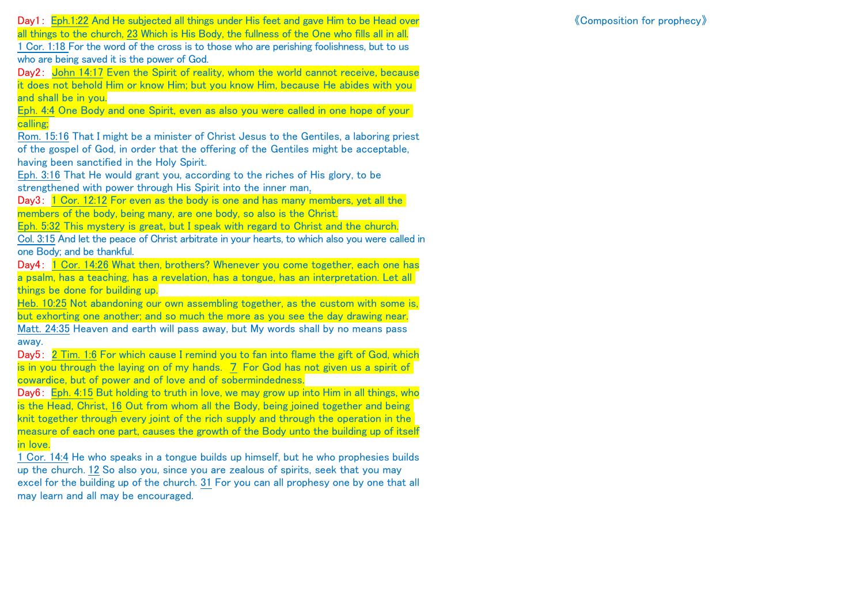Day1: Eph.1:22 And He subjected all things under His feet and gave Him to be Head over all things to the church, 23 Which is His Body, the fullness of the One who fills all in all. 1 Cor. 1:18 For the word of the cross is to those who are perishing foolishness, but to us who are being saved it is the power of God.

Day2: John 14:17 Even the Spirit of reality, whom the world cannot receive, because it does not behold Him or know Him; but you know Him, because He abides with you and shall be in you.

Eph. 4:4 One Body and one Spirit, even as also you were called in one hope of your calling;

Rom. 15:16 That I might be a minister of Christ Jesus to the Gentiles, a laboring priest of the gospel of God, in order that the offering of the Gentiles might be acceptable, having been sanctified in the Holy Spirit.

Eph. 3:16 That He would grant you, according to the riches of His glory, to be strengthened with power through His Spirit into the inner man,

Day3: 1 Cor. 12:12 For even as the body is one and has many members, yet all the members of the body, being many, are one body, so also is the Christ.

Eph. 5:32 This mystery is great, but I speak with regard to Christ and the church.

Col. 3:15 And let the peace of Christ arbitrate in your hearts, to which also you were called in one Body; and be thankful.

Day4: 1 Cor. 14:26 What then, brothers? Whenever you come together, each one has a psalm, has a teaching, has a revelation, has a tongue, has an interpretation. Let all things be done for building up.

Heb. 10:25 Not abandoning our own assembling together, as the custom with some is, but exhorting one another; and so much the more as you see the day drawing near.

Matt. 24:35 Heaven and earth will pass away, but My words shall by no means pass away.

Day5: 2 Tim. 1:6 For which cause I remind you to fan into flame the gift of God, which is in you through the laying on of my hands. 7 For God has not given us a spirit of cowardice, but of power and of love and of sobermindedness.

Day6: Eph. 4:15 But holding to truth in love, we may grow up into Him in all things, who is the Head, Christ, 16 Out from whom all the Body, being joined together and being knit together through every joint of the rich supply and through the operation in the measure of each one part, causes the growth of the Body unto the building up of itself in love.

1 Cor. 14:4 He who speaks in a tongue builds up himself, but he who prophesies builds up the church. 12 So also you, since you are zealous of spirits, seek that you may excel for the building up of the church. 31 For you can all prophesy one by one that all may learn and all may be encouraged.

《Composition for prophecy》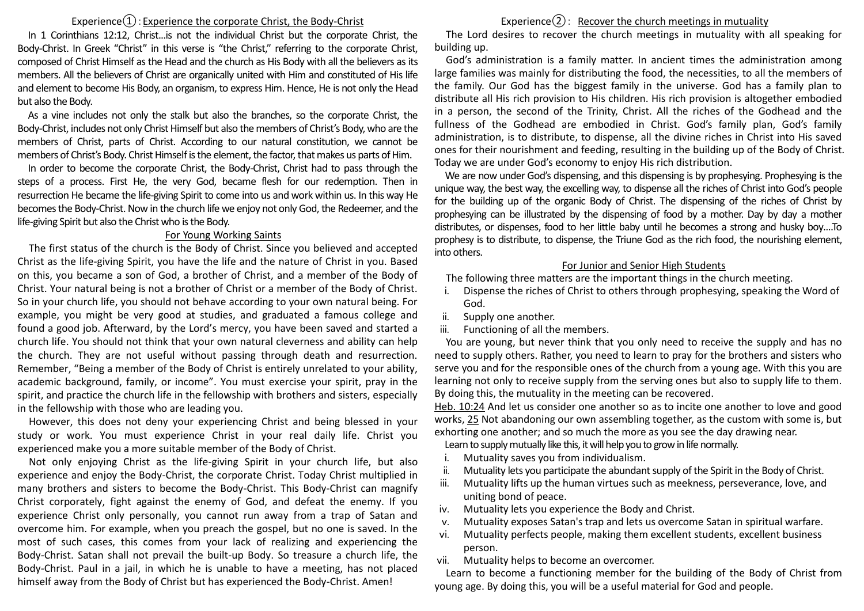## Experience $\Omega$ : Experience the corporate Christ, the Body-Christ

In 1 Corinthians 12:12, Christ...is not the individual Christ but the corporate Christ, the Body-Christ. In Greek "Christ" in this verse is "the Christ," referring to the corporate Christ, composed of Christ Himself as the Head and the church as His Body with all the believers as its members. All the believers of Christ are organically united with Him and constituted of His life and element to become His Body, an organism, to express Him. Hence, He is not only the Head but also the Body.

As a vine includes not only the stalk but also the branches, so the corporate Christ, the Body-Christ, includes not only Christ Himself but also the members of Christ's Body, who are the members of Christ, parts of Christ. According to our natural constitution, we cannot be members of Christ's Body. Christ Himself is the element, the factor, that makes us parts of Him.

In order to become the corporate Christ, the Body-Christ, Christ had to pass through the steps of a process. First He, the very God, became flesh for our redemption. Then in resurrection He became the life-giving Spirit to come into us and work within us. In this way He becomes the Body-Christ. Now in the church life we enjoy not only God, the Redeemer, and the life-giving Spirit but also the Christ who is the Body.

#### For Young Working Saints

The first status of the church is the Body of Christ. Since you believed and accepted Christ as the life-giving Spirit, you have the life and the nature of Christ in you. Based on this, you became a son of God, a brother of Christ, and a member of the Body of Christ. Your natural being is not a brother of Christ or a member of the Body of Christ. So in your church life, you should not behave according to your own natural being. For example, you might be very good at studies, and graduated a famous college and found a good job. Afterward, by the Lord's mercy, you have been saved and started a church life. You should not think that your own natural cleverness and ability can help the church. They are not useful without passing through death and resurrection. Remember, "Being a member of the Body of Christ is entirely unrelated to your ability, academic background, family, or income". You must exercise your spirit, pray in the spirit, and practice the church life in the fellowship with brothers and sisters, especially in the fellowship with those who are leading you.

However, this does not deny your experiencing Christ and being blessed in your study or work. You must experience Christ in your real daily life. Christ you experienced make you a more suitable member of the Body of Christ.

Not only enjoying Christ as the life-giving Spirit in your church life, but also experience and enjoy the Body-Christ, the corporate Christ. Today Christ multiplied in many brothers and sisters to become the Body-Christ. This Body-Christ can magnify Christ corporately, fight against the enemy of God, and defeat the enemy. If you experience Christ only personally, you cannot run away from a trap of Satan and overcome him. For example, when you preach the gospel, but no one is saved. In the most of such cases, this comes from your lack of realizing and experiencing the Body-Christ. Satan shall not prevail the built-up Body. So treasure a church life, the Body-Christ. Paul in a jail, in which he is unable to have a meeting, has not placed himself away from the Body of Christ but has experienced the Body-Christ. Amen!

# Experience $(2)$ : Recover the church meetings in mutuality

The Lord desires to recover the church meetings in mutuality with all speaking for building up.

God's administration is a family matter. In ancient times the administration among large families was mainly for distributing the food, the necessities, to all the members of the family. Our God has the biggest family in the universe. God has a family plan to distribute all His rich provision to His children. His rich provision is altogether embodied in a person, the second of the Trinity, Christ. All the riches of the Godhead and the fullness of the Godhead are embodied in Christ. God's family plan, God's family administration, is to distribute, to dispense, all the divine riches in Christ into His saved ones for their nourishment and feeding, resulting in the building up of the Body of Christ. Today we are under God's economy to enjoy His rich distribution.

We are now under God's dispensing, and this dispensing is by prophesying. Prophesying is the unique way, the best way, the excelling way, to dispense all the riches of Christ into God's people for the building up of the organic Body of Christ. The dispensing of the riches of Christ by prophesying can be illustrated by the dispensing of food by a mother. Day by day a mother distributes, or dispenses, food to her little baby until he becomes a strong and husky boy….To prophesy is to distribute, to dispense, the Triune God as the rich food, the nourishing element, into others.

### For Junior and Senior High Students

- The following three matters are the important things in the church meeting.
- i. Dispense the riches of Christ to others through prophesying, speaking the Word of God.
- ii. Supply one another.
- iii. Functioning of all the members.

You are young, but never think that you only need to receive the supply and has no need to supply others. Rather, you need to learn to pray for the brothers and sisters who serve you and for the responsible ones of the church from a young age. With this you are learning not only to receive supply from the serving ones but also to supply life to them. By doing this, the mutuality in the meeting can be recovered.

Heb. 10:24 And let us consider one another so as to incite one another to love and good works, 25 Not abandoning our own assembling together, as the custom with some is, but exhorting one another; and so much the more as you see the day drawing near.

Learn to supply mutually like this, it will help you to grow in life normally.

- i. Mutuality saves you from individualism.
- ii. Mutuality lets you participate the abundant supply of the Spirit in the Body of Christ.
- iii. Mutuality lifts up the human virtues such as meekness, perseverance, love, and uniting bond of peace.
- iv. Mutuality lets you experience the Body and Christ.
- v. Mutuality exposes Satan's trap and lets us overcome Satan in spiritual warfare.
- vi. Mutuality perfects people, making them excellent students, excellent business person.

vii. Mutuality helps to become an overcomer.

Learn to become a functioning member for the building of the Body of Christ from young age. By doing this, you will be a useful material for God and people.